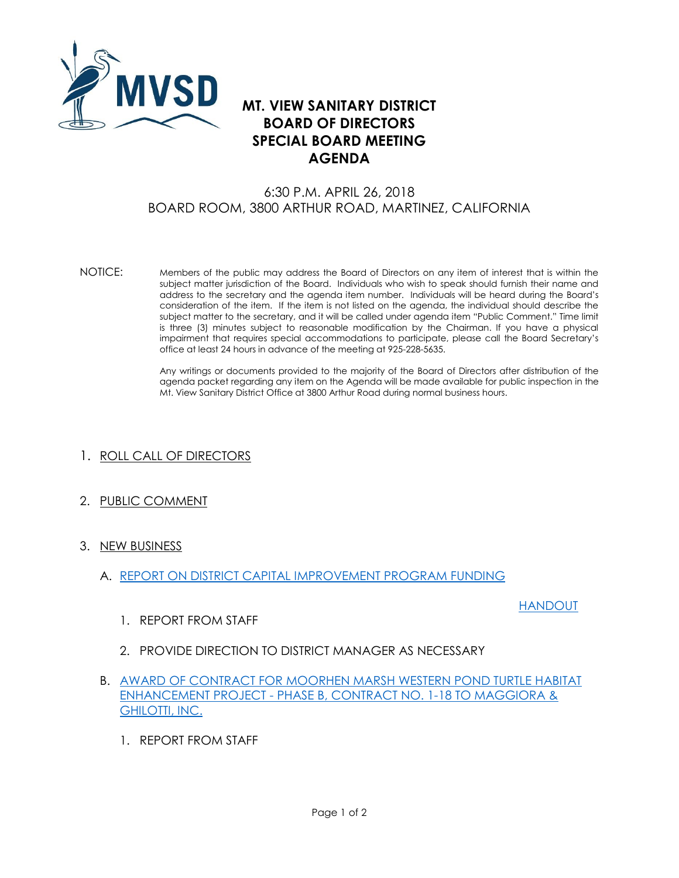

## **MT. VIEW SANITARY DISTRICT BOARD OF DIRECTORS SPECIAL BOARD MEETING AGENDA**

## 6:30 P.M. APRIL 26, 2018 BOARD ROOM, 3800 ARTHUR ROAD, MARTINEZ, CALIFORNIA

NOTICE: Members of the public may address the Board of Directors on any item of interest that is within the subject matter jurisdiction of the Board. Individuals who wish to speak should furnish their name and address to the secretary and the agenda item number. Individuals will be heard during the Board's consideration of the item. If the item is not listed on the agenda, the individual should describe the subject matter to the secretary, and it will be called under agenda item "Public Comment." Time limit is three (3) minutes subject to reasonable modification by the Chairman. If you have a physical impairment that requires special accommodations to participate, please call the Board Secretary's office at least 24 hours in advance of the meeting at 925-228-5635.

> Any writings or documents provided to the majority of the Board of Directors after distribution of the agenda packet regarding any item on the Agenda will be made available for public inspection in the Mt. View Sanitary District Office at 3800 Arthur Road during normal business hours.

- 1. ROLL CALL OF DIRECTORS
- 2. PUBLIC COMMENT
- 3. NEW BUSINESS
	- A. [REPORT ON DISTRICT CAPITAL IMPROVEMENT PROGRAM FUNDING](http://mvsd.org/wp-content/uploads/2018/04/2018-04-26-ITEM-3A.pdf)

## [HANDOUT](http://mvsd.org/wp-content/uploads/2018/05/2018-04-26-ITEM-3A-HANDOUT.pdf)

- 1. REPORT FROM STAFF
- 2. PROVIDE DIRECTION TO DISTRICT MANAGER AS NECESSARY
- B. [AWARD OF CONTRACT FOR MOORHEN MARSH WESTERN POND TURTLE HABITAT](http://mvsd.org/wp-content/uploads/2018/04/2018-04-26-ITEM-3B.pdf)  ENHANCEMENT PROJECT - [PHASE B, CONTRACT NO. 1-18](http://mvsd.org/wp-content/uploads/2018/04/2018-04-26-ITEM-3B.pdf) TO MAGGIORA & [GHILOTTI, INC.](http://mvsd.org/wp-content/uploads/2018/04/2018-04-26-ITEM-3B.pdf)
	- 1. REPORT FROM STAFF